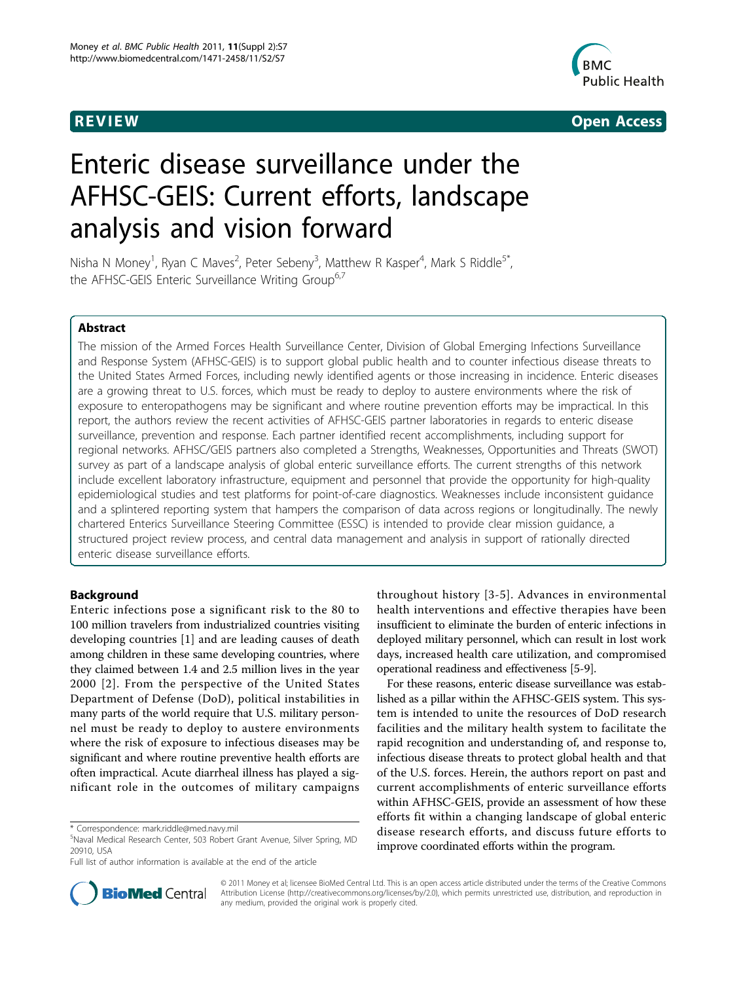

**REVIEW REVIEW CONSTRUCTER ACCESS** 

# Enteric disease surveillance under the AFHSC-GEIS: Current efforts, landscape analysis and vision forward

Nisha N Money<sup>1</sup>, Ryan C Maves<sup>2</sup>, Peter Sebeny<sup>3</sup>, Matthew R Kasper<sup>4</sup>, Mark S Riddle<sup>5\*</sup>, the AFHSC-GEIS Enteric Surveillance Writing Group<sup>6,7</sup>

#### Abstract

The mission of the Armed Forces Health Surveillance Center, Division of Global Emerging Infections Surveillance and Response System (AFHSC-GEIS) is to support global public health and to counter infectious disease threats to the United States Armed Forces, including newly identified agents or those increasing in incidence. Enteric diseases are a growing threat to U.S. forces, which must be ready to deploy to austere environments where the risk of exposure to enteropathogens may be significant and where routine prevention efforts may be impractical. In this report, the authors review the recent activities of AFHSC-GEIS partner laboratories in regards to enteric disease surveillance, prevention and response. Each partner identified recent accomplishments, including support for regional networks. AFHSC/GEIS partners also completed a Strengths, Weaknesses, Opportunities and Threats (SWOT) survey as part of a landscape analysis of global enteric surveillance efforts. The current strengths of this network include excellent laboratory infrastructure, equipment and personnel that provide the opportunity for high-quality epidemiological studies and test platforms for point-of-care diagnostics. Weaknesses include inconsistent guidance and a splintered reporting system that hampers the comparison of data across regions or longitudinally. The newly chartered Enterics Surveillance Steering Committee (ESSC) is intended to provide clear mission guidance, a structured project review process, and central data management and analysis in support of rationally directed enteric disease surveillance efforts.

#### Background

Enteric infections pose a significant risk to the 80 to 100 million travelers from industrialized countries visiting developing countries [\[1](#page-8-0)] and are leading causes of death among children in these same developing countries, where they claimed between 1.4 and 2.5 million lives in the year 2000 [[2\]](#page-8-0). From the perspective of the United States Department of Defense (DoD), political instabilities in many parts of the world require that U.S. military personnel must be ready to deploy to austere environments where the risk of exposure to infectious diseases may be significant and where routine preventive health efforts are often impractical. Acute diarrheal illness has played a significant role in the outcomes of military campaigns

throughout history [[3](#page-8-0)-[5](#page-8-0)]. Advances in environmental health interventions and effective therapies have been insufficient to eliminate the burden of enteric infections in deployed military personnel, which can result in lost work days, increased health care utilization, and compromised operational readiness and effectiveness [\[5-9](#page-8-0)].

For these reasons, enteric disease surveillance was established as a pillar within the AFHSC-GEIS system. This system is intended to unite the resources of DoD research facilities and the military health system to facilitate the rapid recognition and understanding of, and response to, infectious disease threats to protect global health and that of the U.S. forces. Herein, the authors report on past and current accomplishments of enteric surveillance efforts within AFHSC-GEIS, provide an assessment of how these efforts fit within a changing landscape of global enteric disease research efforts, and discuss future efforts to improve coordinated efforts within the program.



© 2011 Money et al; licensee BioMed Central Ltd. This is an open access article distributed under the terms of the Creative Commons Attribution License [\(http://creativecommons.org/licenses/by/2.0](http://creativecommons.org/licenses/by/2.0)), which permits unrestricted use, distribution, and reproduction in any medium, provided the original work is properly cited.

<sup>\*</sup> Correspondence: [mark.riddle@med.navy.mil](mailto:mark.riddle@med.navy.mil)

<sup>5</sup> Naval Medical Research Center, 503 Robert Grant Avenue, Silver Spring, MD 20910, USA

Full list of author information is available at the end of the article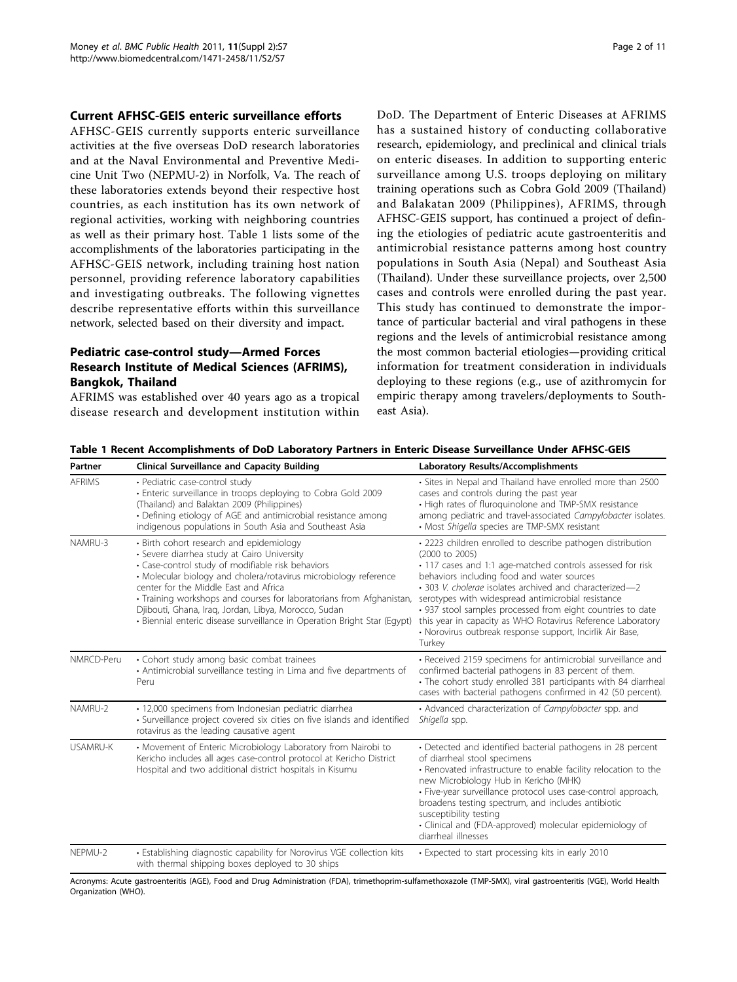#### Current AFHSC-GEIS enteric surveillance efforts

AFHSC-GEIS currently supports enteric surveillance activities at the five overseas DoD research laboratories and at the Naval Environmental and Preventive Medicine Unit Two (NEPMU-2) in Norfolk, Va. The reach of these laboratories extends beyond their respective host countries, as each institution has its own network of regional activities, working with neighboring countries as well as their primary host. Table 1 lists some of the accomplishments of the laboratories participating in the AFHSC-GEIS network, including training host nation personnel, providing reference laboratory capabilities and investigating outbreaks. The following vignettes describe representative efforts within this surveillance network, selected based on their diversity and impact.

## Pediatric case-control study—Armed Forces Research Institute of Medical Sciences (AFRIMS), Bangkok, Thailand

AFRIMS was established over 40 years ago as a tropical disease research and development institution within DoD. The Department of Enteric Diseases at AFRIMS has a sustained history of conducting collaborative research, epidemiology, and preclinical and clinical trials on enteric diseases. In addition to supporting enteric surveillance among U.S. troops deploying on military training operations such as Cobra Gold 2009 (Thailand) and Balakatan 2009 (Philippines), AFRIMS, through AFHSC-GEIS support, has continued a project of defining the etiologies of pediatric acute gastroenteritis and antimicrobial resistance patterns among host country populations in South Asia (Nepal) and Southeast Asia (Thailand). Under these surveillance projects, over 2,500 cases and controls were enrolled during the past year. This study has continued to demonstrate the importance of particular bacterial and viral pathogens in these regions and the levels of antimicrobial resistance among the most common bacterial etiologies—providing critical information for treatment consideration in individuals deploying to these regions (e.g., use of azithromycin for empiric therapy among travelers/deployments to Southeast Asia).

| Partner         | <b>Clinical Surveillance and Capacity Building</b>                                                                                                                                                                                                                                                                                                                                                                                                                    | Laboratory Results/Accomplishments                                                                                                                                                                                                                                                                                                                                                                                                                                                                            |
|-----------------|-----------------------------------------------------------------------------------------------------------------------------------------------------------------------------------------------------------------------------------------------------------------------------------------------------------------------------------------------------------------------------------------------------------------------------------------------------------------------|---------------------------------------------------------------------------------------------------------------------------------------------------------------------------------------------------------------------------------------------------------------------------------------------------------------------------------------------------------------------------------------------------------------------------------------------------------------------------------------------------------------|
| <b>AFRIMS</b>   | • Pediatric case-control study<br>· Enteric surveillance in troops deploying to Cobra Gold 2009<br>(Thailand) and Balaktan 2009 (Philippines)<br>• Defining etiology of AGE and antimicrobial resistance among<br>indigenous populations in South Asia and Southeast Asia                                                                                                                                                                                             | • Sites in Nepal and Thailand have enrolled more than 2500<br>cases and controls during the past year<br>• High rates of fluroquinolone and TMP-SMX resistance<br>among pediatric and travel-associated Campylobacter isolates.<br>• Most Shigella species are TMP-SMX resistant                                                                                                                                                                                                                              |
| NAMRU-3         | • Birth cohort research and epidemiology<br>• Severe diarrhea study at Cairo University<br>• Case-control study of modifiable risk behaviors<br>• Molecular biology and cholera/rotavirus microbiology reference<br>center for the Middle East and Africa<br>• Training workshops and courses for laboratorians from Afghanistan,<br>Djibouti, Ghana, Iraq, Jordan, Libya, Morocco, Sudan<br>· Biennial enteric disease surveillance in Operation Bright Star (Egypt) | · 2223 children enrolled to describe pathogen distribution<br>(2000 to 2005)<br>• 117 cases and 1:1 age-matched controls assessed for risk<br>behaviors including food and water sources<br>• 303 V. cholerge isolates archived and characterized-2<br>serotypes with widespread antimicrobial resistance<br>• 937 stool samples processed from eight countries to date<br>this year in capacity as WHO Rotavirus Reference Laboratory<br>· Norovirus outbreak response support, Incirlik Air Base,<br>Turkey |
| NMRCD-Peru      | · Cohort study among basic combat trainees<br>• Antimicrobial surveillance testing in Lima and five departments of<br>Peru                                                                                                                                                                                                                                                                                                                                            | • Received 2159 specimens for antimicrobial surveillance and<br>confirmed bacterial pathogens in 83 percent of them.<br>· The cohort study enrolled 381 participants with 84 diarrheal<br>cases with bacterial pathogens confirmed in 42 (50 percent).                                                                                                                                                                                                                                                        |
| NAMRU-2         | · 12,000 specimens from Indonesian pediatric diarrhea<br>• Surveillance project covered six cities on five islands and identified<br>rotavirus as the leading causative agent                                                                                                                                                                                                                                                                                         | • Advanced characterization of Campylobacter spp. and<br>Shigella spp.                                                                                                                                                                                                                                                                                                                                                                                                                                        |
| <b>USAMRU-K</b> | • Movement of Enteric Microbiology Laboratory from Nairobi to<br>Kericho includes all ages case-control protocol at Kericho District<br>Hospital and two additional district hospitals in Kisumu                                                                                                                                                                                                                                                                      | • Detected and identified bacterial pathogens in 28 percent<br>of diarrheal stool specimens<br>• Renovated infrastructure to enable facility relocation to the<br>new Microbiology Hub in Kericho (MHK)<br>· Five-year surveillance protocol uses case-control approach,<br>broadens testing spectrum, and includes antibiotic<br>susceptibility testing<br>• Clinical and (FDA-approved) molecular epidemiology of<br>diarrheal illnesses                                                                    |
| NEPMU-2         | • Establishing diagnostic capability for Norovirus VGE collection kits<br>with thermal shipping boxes deployed to 30 ships                                                                                                                                                                                                                                                                                                                                            | · Expected to start processing kits in early 2010                                                                                                                                                                                                                                                                                                                                                                                                                                                             |

Table 1 Recent Accomplishments of DoD Laboratory Partners in Enteric Disease Surveillance Under AFHSC-GEIS

Acronyms: Acute gastroenteritis (AGE), Food and Drug Administration (FDA), trimethoprim-sulfamethoxazole (TMP-SMX), viral gastroenteritis (VGE), World Health Organization (WHO).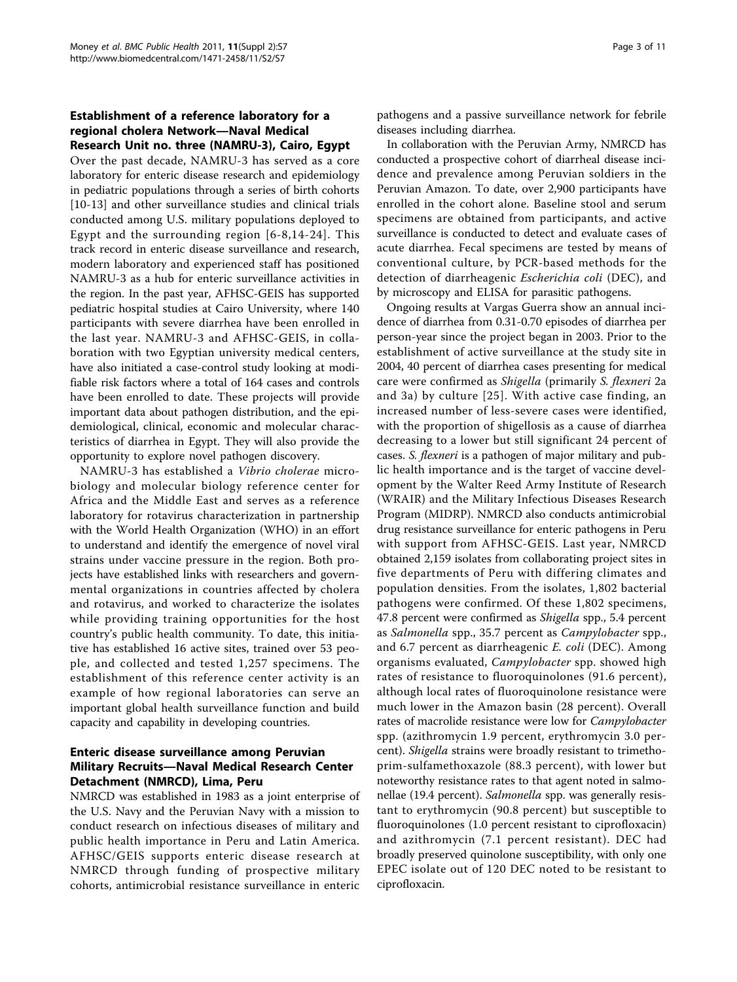## Establishment of a reference laboratory for a regional cholera Network—Naval Medical Research Unit no. three (NAMRU-3), Cairo, Egypt

Over the past decade, NAMRU-3 has served as a core laboratory for enteric disease research and epidemiology in pediatric populations through a series of birth cohorts [[10-](#page-8-0)[13\]](#page-9-0) and other surveillance studies and clinical trials conducted among U.S. military populations deployed to Egypt and the surrounding region [[6-8](#page-8-0),[14](#page-9-0)-[24](#page-9-0)]. This track record in enteric disease surveillance and research, modern laboratory and experienced staff has positioned NAMRU-3 as a hub for enteric surveillance activities in the region. In the past year, AFHSC-GEIS has supported pediatric hospital studies at Cairo University, where 140 participants with severe diarrhea have been enrolled in the last year. NAMRU-3 and AFHSC-GEIS, in collaboration with two Egyptian university medical centers, have also initiated a case-control study looking at modifiable risk factors where a total of 164 cases and controls have been enrolled to date. These projects will provide important data about pathogen distribution, and the epidemiological, clinical, economic and molecular characteristics of diarrhea in Egypt. They will also provide the opportunity to explore novel pathogen discovery.

NAMRU-3 has established a Vibrio cholerae microbiology and molecular biology reference center for Africa and the Middle East and serves as a reference laboratory for rotavirus characterization in partnership with the World Health Organization (WHO) in an effort to understand and identify the emergence of novel viral strains under vaccine pressure in the region. Both projects have established links with researchers and governmental organizations in countries affected by cholera and rotavirus, and worked to characterize the isolates while providing training opportunities for the host country's public health community. To date, this initiative has established 16 active sites, trained over 53 people, and collected and tested 1,257 specimens. The establishment of this reference center activity is an example of how regional laboratories can serve an important global health surveillance function and build capacity and capability in developing countries.

## Enteric disease surveillance among Peruvian Military Recruits—Naval Medical Research Center Detachment (NMRCD), Lima, Peru

NMRCD was established in 1983 as a joint enterprise of the U.S. Navy and the Peruvian Navy with a mission to conduct research on infectious diseases of military and public health importance in Peru and Latin America. AFHSC/GEIS supports enteric disease research at NMRCD through funding of prospective military cohorts, antimicrobial resistance surveillance in enteric pathogens and a passive surveillance network for febrile diseases including diarrhea.

In collaboration with the Peruvian Army, NMRCD has conducted a prospective cohort of diarrheal disease incidence and prevalence among Peruvian soldiers in the Peruvian Amazon. To date, over 2,900 participants have enrolled in the cohort alone. Baseline stool and serum specimens are obtained from participants, and active surveillance is conducted to detect and evaluate cases of acute diarrhea. Fecal specimens are tested by means of conventional culture, by PCR-based methods for the detection of diarrheagenic Escherichia coli (DEC), and by microscopy and ELISA for parasitic pathogens.

Ongoing results at Vargas Guerra show an annual incidence of diarrhea from 0.31-0.70 episodes of diarrhea per person-year since the project began in 2003. Prior to the establishment of active surveillance at the study site in 2004, 40 percent of diarrhea cases presenting for medical care were confirmed as Shigella (primarily S. flexneri 2a and 3a) by culture [[25](#page-9-0)]. With active case finding, an increased number of less-severe cases were identified, with the proportion of shigellosis as a cause of diarrhea decreasing to a lower but still significant 24 percent of cases. S. flexneri is a pathogen of major military and public health importance and is the target of vaccine development by the Walter Reed Army Institute of Research (WRAIR) and the Military Infectious Diseases Research Program (MIDRP). NMRCD also conducts antimicrobial drug resistance surveillance for enteric pathogens in Peru with support from AFHSC-GEIS. Last year, NMRCD obtained 2,159 isolates from collaborating project sites in five departments of Peru with differing climates and population densities. From the isolates, 1,802 bacterial pathogens were confirmed. Of these 1,802 specimens, 47.8 percent were confirmed as Shigella spp., 5.4 percent as Salmonella spp., 35.7 percent as Campylobacter spp., and 6.7 percent as diarrheagenic E. coli (DEC). Among organisms evaluated, Campylobacter spp. showed high rates of resistance to fluoroquinolones (91.6 percent), although local rates of fluoroquinolone resistance were much lower in the Amazon basin (28 percent). Overall rates of macrolide resistance were low for Campylobacter spp. (azithromycin 1.9 percent, erythromycin 3.0 percent). Shigella strains were broadly resistant to trimethoprim-sulfamethoxazole (88.3 percent), with lower but noteworthy resistance rates to that agent noted in salmonellae (19.4 percent). Salmonella spp. was generally resistant to erythromycin (90.8 percent) but susceptible to fluoroquinolones (1.0 percent resistant to ciprofloxacin) and azithromycin (7.1 percent resistant). DEC had broadly preserved quinolone susceptibility, with only one EPEC isolate out of 120 DEC noted to be resistant to ciprofloxacin.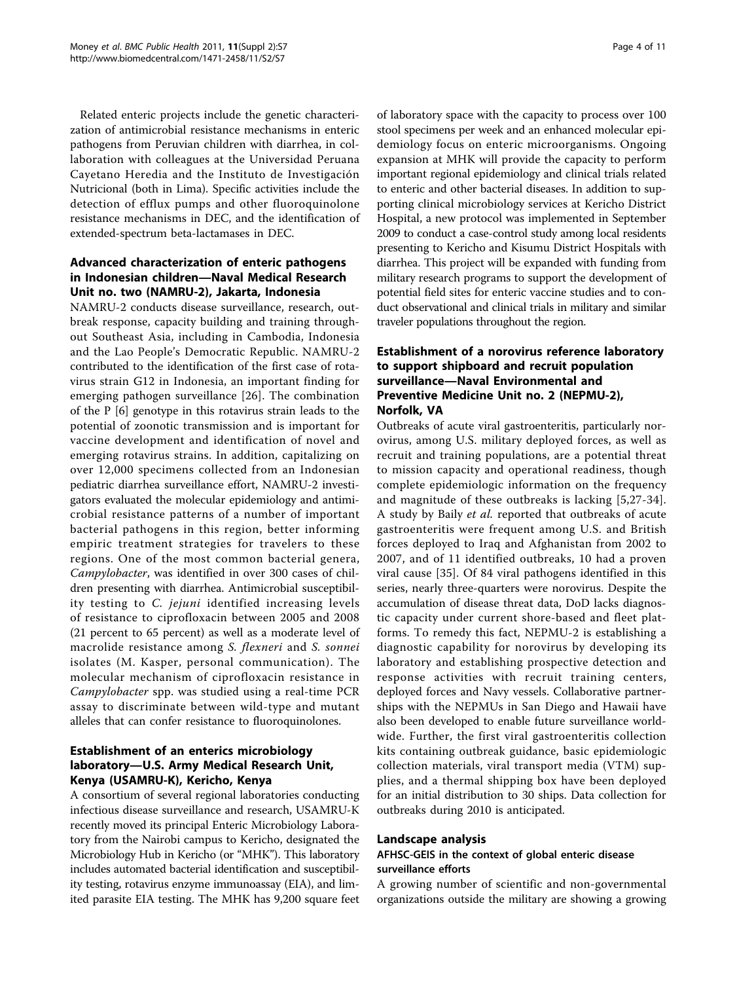Related enteric projects include the genetic characterization of antimicrobial resistance mechanisms in enteric pathogens from Peruvian children with diarrhea, in collaboration with colleagues at the Universidad Peruana Cayetano Heredia and the Instituto de Investigación Nutricional (both in Lima). Specific activities include the detection of efflux pumps and other fluoroquinolone resistance mechanisms in DEC, and the identification of extended-spectrum beta-lactamases in DEC.

# Advanced characterization of enteric pathogens in Indonesian children—Naval Medical Research Unit no. two (NAMRU-2), Jakarta, Indonesia

NAMRU-2 conducts disease surveillance, research, outbreak response, capacity building and training throughout Southeast Asia, including in Cambodia, Indonesia and the Lao People's Democratic Republic. NAMRU-2 contributed to the identification of the first case of rotavirus strain G12 in Indonesia, an important finding for emerging pathogen surveillance [\[26](#page-9-0)]. The combination of the P [\[6\]](#page-8-0) genotype in this rotavirus strain leads to the potential of zoonotic transmission and is important for vaccine development and identification of novel and emerging rotavirus strains. In addition, capitalizing on over 12,000 specimens collected from an Indonesian pediatric diarrhea surveillance effort, NAMRU-2 investigators evaluated the molecular epidemiology and antimicrobial resistance patterns of a number of important bacterial pathogens in this region, better informing empiric treatment strategies for travelers to these regions. One of the most common bacterial genera, Campylobacter, was identified in over 300 cases of children presenting with diarrhea. Antimicrobial susceptibility testing to C. jejuni identified increasing levels of resistance to ciprofloxacin between 2005 and 2008 (21 percent to 65 percent) as well as a moderate level of macrolide resistance among S. flexneri and S. sonnei isolates (M. Kasper, personal communication). The molecular mechanism of ciprofloxacin resistance in Campylobacter spp. was studied using a real-time PCR assay to discriminate between wild-type and mutant alleles that can confer resistance to fluoroquinolones.

# Establishment of an enterics microbiology laboratory—U.S. Army Medical Research Unit, Kenya (USAMRU-K), Kericho, Kenya

A consortium of several regional laboratories conducting infectious disease surveillance and research, USAMRU-K recently moved its principal Enteric Microbiology Laboratory from the Nairobi campus to Kericho, designated the Microbiology Hub in Kericho (or "MHK"). This laboratory includes automated bacterial identification and susceptibility testing, rotavirus enzyme immunoassay (EIA), and limited parasite EIA testing. The MHK has 9,200 square feet

of laboratory space with the capacity to process over 100 stool specimens per week and an enhanced molecular epidemiology focus on enteric microorganisms. Ongoing expansion at MHK will provide the capacity to perform important regional epidemiology and clinical trials related to enteric and other bacterial diseases. In addition to supporting clinical microbiology services at Kericho District Hospital, a new protocol was implemented in September 2009 to conduct a case-control study among local residents presenting to Kericho and Kisumu District Hospitals with diarrhea. This project will be expanded with funding from military research programs to support the development of potential field sites for enteric vaccine studies and to conduct observational and clinical trials in military and similar traveler populations throughout the region.

# Establishment of a norovirus reference laboratory to support shipboard and recruit population surveillance—Naval Environmental and Preventive Medicine Unit no. 2 (NEPMU-2), Norfolk, VA

Outbreaks of acute viral gastroenteritis, particularly norovirus, among U.S. military deployed forces, as well as recruit and training populations, are a potential threat to mission capacity and operational readiness, though complete epidemiologic information on the frequency and magnitude of these outbreaks is lacking [[5,](#page-8-0)[27](#page-9-0)-[34](#page-9-0)]. A study by Baily et al. reported that outbreaks of acute gastroenteritis were frequent among U.S. and British forces deployed to Iraq and Afghanistan from 2002 to 2007, and of 11 identified outbreaks, 10 had a proven viral cause [[35\]](#page-9-0). Of 84 viral pathogens identified in this series, nearly three-quarters were norovirus. Despite the accumulation of disease threat data, DoD lacks diagnostic capacity under current shore-based and fleet platforms. To remedy this fact, NEPMU-2 is establishing a diagnostic capability for norovirus by developing its laboratory and establishing prospective detection and response activities with recruit training centers, deployed forces and Navy vessels. Collaborative partnerships with the NEPMUs in San Diego and Hawaii have also been developed to enable future surveillance worldwide. Further, the first viral gastroenteritis collection kits containing outbreak guidance, basic epidemiologic collection materials, viral transport media (VTM) supplies, and a thermal shipping box have been deployed for an initial distribution to 30 ships. Data collection for outbreaks during 2010 is anticipated.

#### Landscape analysis

#### AFHSC-GEIS in the context of global enteric disease surveillance efforts

A growing number of scientific and non-governmental organizations outside the military are showing a growing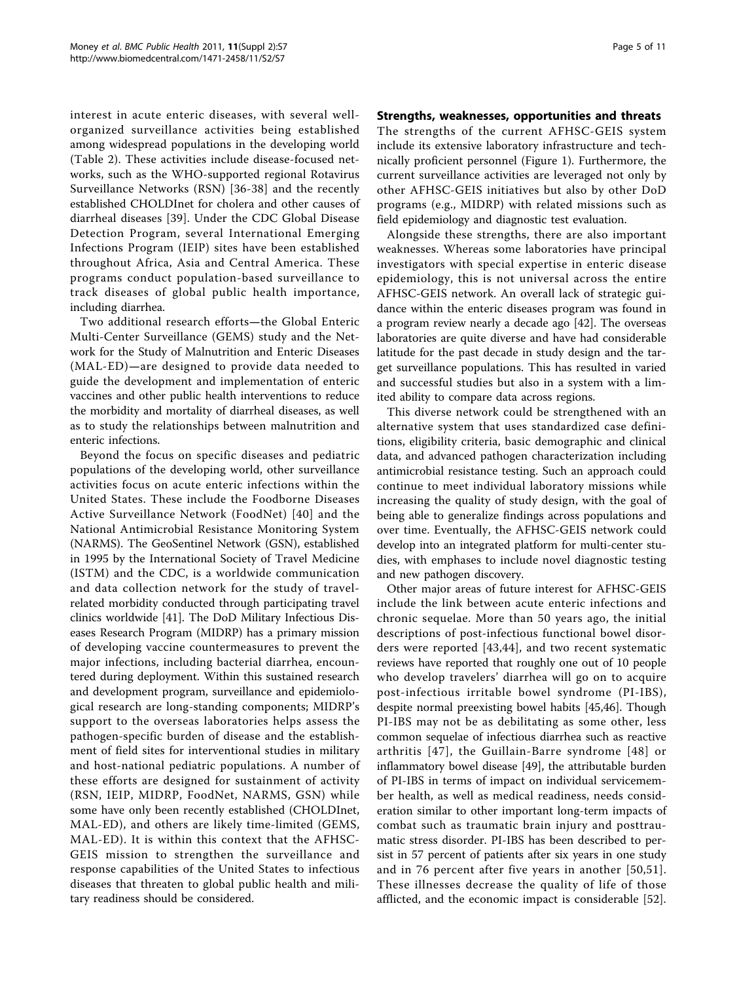interest in acute enteric diseases, with several wellorganized surveillance activities being established among widespread populations in the developing world (Table [2](#page-5-0)). These activities include disease-focused networks, such as the WHO-supported regional Rotavirus Surveillance Networks (RSN) [[36-38\]](#page-9-0) and the recently established CHOLDInet for cholera and other causes of diarrheal diseases [[39\]](#page-9-0). Under the CDC Global Disease Detection Program, several International Emerging Infections Program (IEIP) sites have been established throughout Africa, Asia and Central America. These programs conduct population-based surveillance to track diseases of global public health importance, including diarrhea.

Two additional research efforts—the Global Enteric Multi-Center Surveillance (GEMS) study and the Network for the Study of Malnutrition and Enteric Diseases (MAL-ED)—are designed to provide data needed to guide the development and implementation of enteric vaccines and other public health interventions to reduce the morbidity and mortality of diarrheal diseases, as well as to study the relationships between malnutrition and enteric infections.

Beyond the focus on specific diseases and pediatric populations of the developing world, other surveillance activities focus on acute enteric infections within the United States. These include the Foodborne Diseases Active Surveillance Network (FoodNet) [[40](#page-9-0)] and the National Antimicrobial Resistance Monitoring System (NARMS). The GeoSentinel Network (GSN), established in 1995 by the International Society of Travel Medicine (ISTM) and the CDC, is a worldwide communication and data collection network for the study of travelrelated morbidity conducted through participating travel clinics worldwide [\[41\]](#page-9-0). The DoD Military Infectious Diseases Research Program (MIDRP) has a primary mission of developing vaccine countermeasures to prevent the major infections, including bacterial diarrhea, encountered during deployment. Within this sustained research and development program, surveillance and epidemiological research are long-standing components; MIDRP's support to the overseas laboratories helps assess the pathogen-specific burden of disease and the establishment of field sites for interventional studies in military and host-national pediatric populations. A number of these efforts are designed for sustainment of activity (RSN, IEIP, MIDRP, FoodNet, NARMS, GSN) while some have only been recently established (CHOLDInet, MAL-ED), and others are likely time-limited (GEMS, MAL-ED). It is within this context that the AFHSC-GEIS mission to strengthen the surveillance and response capabilities of the United States to infectious diseases that threaten to global public health and military readiness should be considered.

#### Strengths, weaknesses, opportunities and threats

The strengths of the current AFHSC-GEIS system include its extensive laboratory infrastructure and technically proficient personnel (Figure [1\)](#page-6-0). Furthermore, the current surveillance activities are leveraged not only by other AFHSC-GEIS initiatives but also by other DoD programs (e.g., MIDRP) with related missions such as field epidemiology and diagnostic test evaluation.

Alongside these strengths, there are also important weaknesses. Whereas some laboratories have principal investigators with special expertise in enteric disease epidemiology, this is not universal across the entire AFHSC-GEIS network. An overall lack of strategic guidance within the enteric diseases program was found in a program review nearly a decade ago [\[42\]](#page-9-0). The overseas laboratories are quite diverse and have had considerable latitude for the past decade in study design and the target surveillance populations. This has resulted in varied and successful studies but also in a system with a limited ability to compare data across regions.

This diverse network could be strengthened with an alternative system that uses standardized case definitions, eligibility criteria, basic demographic and clinical data, and advanced pathogen characterization including antimicrobial resistance testing. Such an approach could continue to meet individual laboratory missions while increasing the quality of study design, with the goal of being able to generalize findings across populations and over time. Eventually, the AFHSC-GEIS network could develop into an integrated platform for multi-center studies, with emphases to include novel diagnostic testing and new pathogen discovery.

Other major areas of future interest for AFHSC-GEIS include the link between acute enteric infections and chronic sequelae. More than 50 years ago, the initial descriptions of post-infectious functional bowel disorders were reported [\[43,44](#page-9-0)], and two recent systematic reviews have reported that roughly one out of 10 people who develop travelers' diarrhea will go on to acquire post-infectious irritable bowel syndrome (PI-IBS), despite normal preexisting bowel habits [[45,46\]](#page-9-0). Though PI-IBS may not be as debilitating as some other, less common sequelae of infectious diarrhea such as reactive arthritis [[47](#page-9-0)], the Guillain-Barre syndrome [[48](#page-9-0)] or inflammatory bowel disease [[49\]](#page-9-0), the attributable burden of PI-IBS in terms of impact on individual servicemember health, as well as medical readiness, needs consideration similar to other important long-term impacts of combat such as traumatic brain injury and posttraumatic stress disorder. PI-IBS has been described to persist in 57 percent of patients after six years in one study and in 76 percent after five years in another [\[50,51\]](#page-9-0). These illnesses decrease the quality of life of those afflicted, and the economic impact is considerable [[52](#page-9-0)].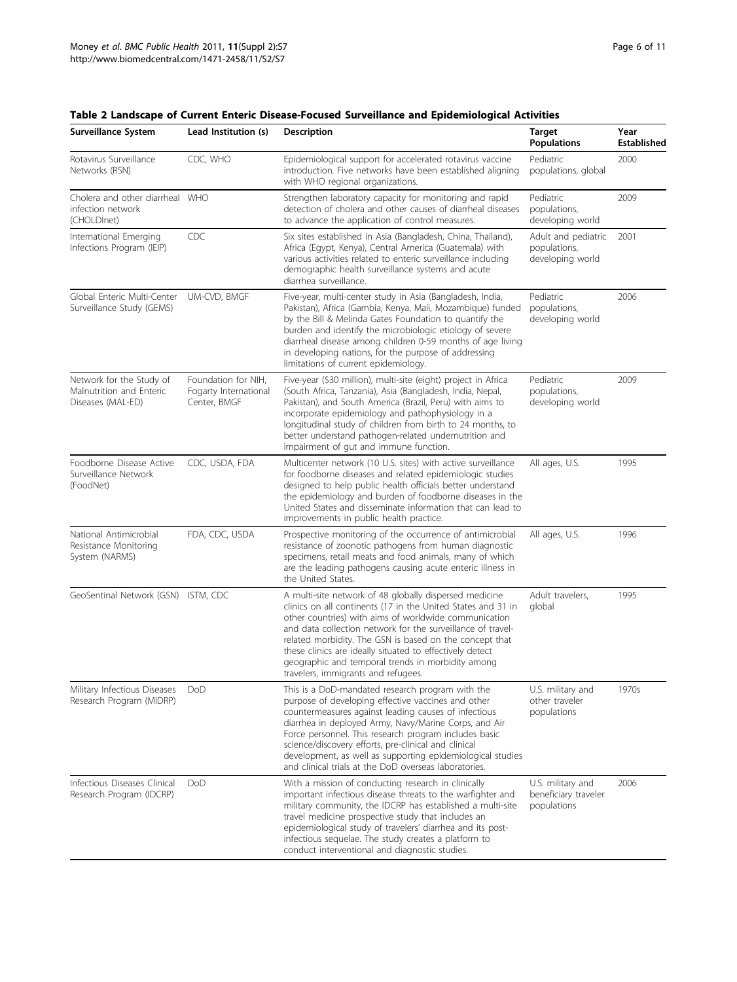| <b>Surveillance System</b>                                                | Lead Institution (s)                                         | Description                                                                                                                                                                                                                                                                                                                                                                                                                                                       | <b>Target</b><br><b>Populations</b>                      | Year<br>Established |
|---------------------------------------------------------------------------|--------------------------------------------------------------|-------------------------------------------------------------------------------------------------------------------------------------------------------------------------------------------------------------------------------------------------------------------------------------------------------------------------------------------------------------------------------------------------------------------------------------------------------------------|----------------------------------------------------------|---------------------|
| Rotavirus Surveillance<br>Networks (RSN)                                  | CDC, WHO                                                     | Epidemiological support for accelerated rotavirus vaccine<br>introduction. Five networks have been established aligning<br>with WHO regional organizations.                                                                                                                                                                                                                                                                                                       | Pediatric<br>populations, global                         | 2000                |
| Cholera and other diarrheal WHO<br>infection network<br>(CHOLDInet)       |                                                              | Strengthen laboratory capacity for monitoring and rapid<br>detection of cholera and other causes of diarrheal diseases<br>to advance the application of control measures.                                                                                                                                                                                                                                                                                         | Pediatric<br>populations,<br>developing world            | 2009                |
| International Emerging<br>Infections Program (IEIP)                       | <b>CDC</b>                                                   | Six sites established in Asia (Bangladesh, China, Thailand),<br>Africa (Egypt, Kenya), Central America (Guatemala) with<br>various activities related to enteric surveillance including<br>demographic health surveillance systems and acute<br>diarrhea surveillance.                                                                                                                                                                                            | Adult and pediatric<br>populations,<br>developing world  | 2001                |
| Global Enteric Multi-Center<br>Surveillance Study (GEMS)                  | UM-CVD, BMGF                                                 | Five-year, multi-center study in Asia (Bangladesh, India,<br>Pakistan), Africa (Gambia, Kenya, Mali, Mozambique) funded<br>by the Bill & Melinda Gates Foundation to quantify the<br>burden and identify the microbiologic etiology of severe<br>diarrheal disease among children 0-59 months of age living<br>in developing nations, for the purpose of addressing<br>limitations of current epidemiology.                                                       | Pediatric<br>populations,<br>developing world            | 2006                |
| Network for the Study of<br>Malnutrition and Enteric<br>Diseases (MAL-ED) | Foundation for NIH,<br>Fogarty International<br>Center, BMGF | Five-year (\$30 million), multi-site (eight) project in Africa<br>(South Africa, Tanzania), Asia (Bangladesh, India, Nepal,<br>Pakistan), and South America (Brazil, Peru) with aims to<br>incorporate epidemiology and pathophysiology in a<br>longitudinal study of children from birth to 24 months, to<br>better understand pathogen-related undernutrition and<br>impairment of gut and immune function.                                                     | Pediatric<br>populations,<br>developing world            | 2009                |
| Foodborne Disease Active<br>Surveillance Network<br>(FoodNet)             | CDC, USDA, FDA                                               | Multicenter network (10 U.S. sites) with active surveillance<br>for foodborne diseases and related epidemiologic studies<br>designed to help public health officials better understand<br>the epidemiology and burden of foodborne diseases in the<br>United States and disseminate information that can lead to<br>improvements in public health practice.                                                                                                       | All ages, U.S.                                           | 1995                |
| National Antimicrobial<br>Resistance Monitoring<br>System (NARMS)         | FDA, CDC, USDA                                               | Prospective monitoring of the occurrence of antimicrobial<br>resistance of zoonotic pathogens from human diagnostic<br>specimens, retail meats and food animals, many of which<br>are the leading pathogens causing acute enteric illness in<br>the United States.                                                                                                                                                                                                | All ages, U.S.                                           | 1996                |
| GeoSentinal Network (GSN) ISTM, CDC                                       |                                                              | A multi-site network of 48 globally dispersed medicine<br>clinics on all continents (17 in the United States and 31 in<br>other countries) with aims of worldwide communication<br>and data collection network for the surveillance of travel-<br>related morbidity. The GSN is based on the concept that<br>these clinics are ideally situated to effectively detect<br>geographic and temporal trends in morbidity among<br>travelers, immigrants and refugees. | Adult travelers,<br>global                               | 1995                |
| Military Infectious Diseases<br>Research Program (MIDRP)                  | DoD                                                          | This is a DoD-mandated research program with the<br>purpose of developing effective vaccines and other<br>countermeasures against leading causes of infectious<br>diarrhea in deployed Army, Navy/Marine Corps, and Air<br>Force personnel. This research program includes basic<br>science/discovery efforts, pre-clinical and clinical<br>development, as well as supporting epidemiological studies<br>and clinical trials at the DoD overseas laboratories.   | U.S. military and<br>other traveler<br>populations       | 1970s               |
| Infectious Diseases Clinical<br>Research Program (IDCRP)                  | DoD                                                          | With a mission of conducting research in clinically<br>important infectious disease threats to the warfighter and<br>military community, the IDCRP has established a multi-site<br>travel medicine prospective study that includes an<br>epidemiological study of travelers' diarrhea and its post-<br>infectious sequelae. The study creates a platform to<br>conduct interventional and diagnostic studies.                                                     | U.S. military and<br>beneficiary traveler<br>populations | 2006                |

# <span id="page-5-0"></span>Table 2 Landscape of Current Enteric Disease-Focused Surveillance and Epidemiological Activities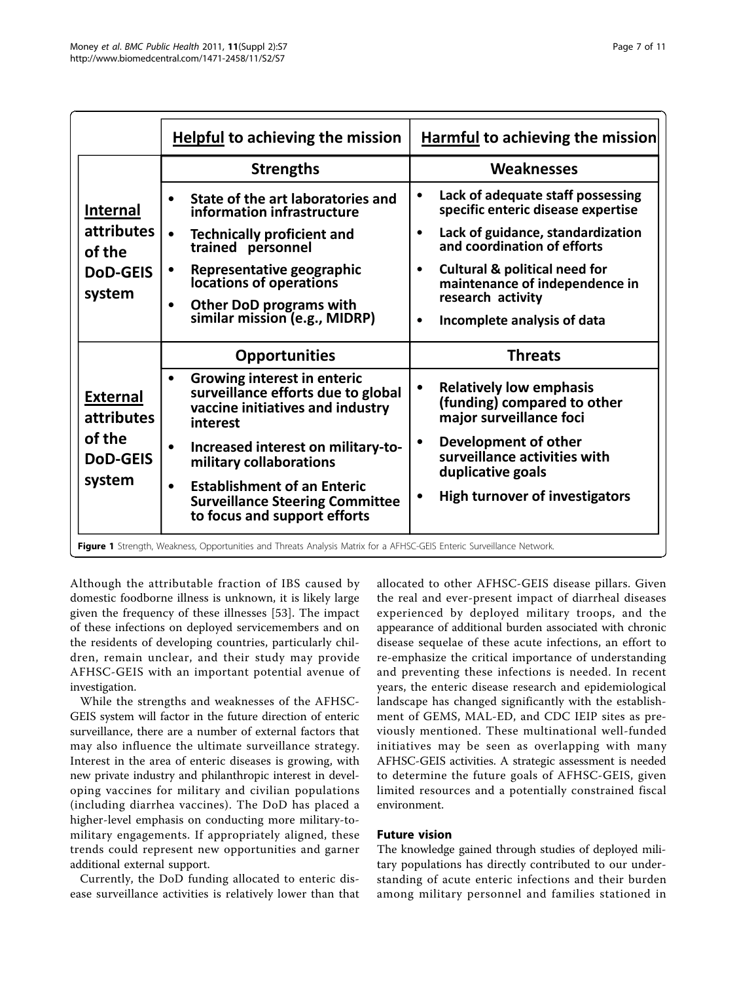<span id="page-6-0"></span>

|                                                                             | <b>Helpful to achieving the mission</b>                                                                                                                                                                                                                                                                                                                                                                                                                                                           | <b>Harmful to achieving the mission</b>                                                                                                                                                                                                                                                                                                                |
|-----------------------------------------------------------------------------|---------------------------------------------------------------------------------------------------------------------------------------------------------------------------------------------------------------------------------------------------------------------------------------------------------------------------------------------------------------------------------------------------------------------------------------------------------------------------------------------------|--------------------------------------------------------------------------------------------------------------------------------------------------------------------------------------------------------------------------------------------------------------------------------------------------------------------------------------------------------|
| <b>Internal</b><br><b>attributes</b><br>of the<br><b>DoD-GEIS</b><br>system | <b>Strengths</b><br>State of the art laboratories and<br>$\bullet$<br>information infrastructure<br>$\bullet$<br><b>Technically proficient and</b><br>trained personnel<br>Representative geographic<br>$\bullet$<br>locations of operations<br><b>Other DoD programs with</b><br>$\bullet$<br>similar mission (e.g., MIDRP)                                                                                                                                                                      | <b>Weaknesses</b><br>Lack of adequate staff possessing<br>$\bullet$<br>specific enteric disease expertise<br>Lack of guidance, standardization<br>$\bullet$<br>and coordination of efforts<br><b>Cultural &amp; political need for</b><br>$\bullet$<br>maintenance of independence in<br>research activity<br>Incomplete analysis of data<br>$\bullet$ |
| <b>External</b><br>attributes<br>of the<br><b>DoD-GEIS</b><br>system        | <b>Opportunities</b><br><b>Growing interest in enteric</b><br>$\bullet$<br>surveillance efforts due to global<br>vaccine initiatives and industry<br>interest<br>Increased interest on military-to-<br>$\bullet$<br>military collaborations<br><b>Establishment of an Enteric</b><br>$\bullet$<br><b>Surveillance Steering Committee</b><br>to focus and support efforts<br>Figure 1 Strength, Weakness, Opportunities and Threats Analysis Matrix for a AFHSC-GEIS Enteric Surveillance Network. | <b>Threats</b><br><b>Relatively low emphasis</b><br>$\bullet$<br>(funding) compared to other<br>major surveillance foci<br>Development of other<br>$\bullet$<br>surveillance activities with<br>duplicative goals<br><b>High turnover of investigators</b><br>$\bullet$                                                                                |

Although the attributable fraction of IBS caused by domestic foodborne illness is unknown, it is likely large given the frequency of these illnesses [[53\]](#page-9-0). The impact of these infections on deployed servicemembers and on the residents of developing countries, particularly children, remain unclear, and their study may provide AFHSC-GEIS with an important potential avenue of investigation.

While the strengths and weaknesses of the AFHSC-GEIS system will factor in the future direction of enteric surveillance, there are a number of external factors that may also influence the ultimate surveillance strategy. Interest in the area of enteric diseases is growing, with new private industry and philanthropic interest in developing vaccines for military and civilian populations (including diarrhea vaccines). The DoD has placed a higher-level emphasis on conducting more military-tomilitary engagements. If appropriately aligned, these trends could represent new opportunities and garner additional external support.

Currently, the DoD funding allocated to enteric disease surveillance activities is relatively lower than that allocated to other AFHSC-GEIS disease pillars. Given the real and ever-present impact of diarrheal diseases experienced by deployed military troops, and the appearance of additional burden associated with chronic disease sequelae of these acute infections, an effort to re-emphasize the critical importance of understanding and preventing these infections is needed. In recent years, the enteric disease research and epidemiological landscape has changed significantly with the establishment of GEMS, MAL-ED, and CDC IEIP sites as previously mentioned. These multinational well-funded initiatives may be seen as overlapping with many AFHSC-GEIS activities. A strategic assessment is needed to determine the future goals of AFHSC-GEIS, given limited resources and a potentially constrained fiscal environment.

#### Future vision

The knowledge gained through studies of deployed military populations has directly contributed to our understanding of acute enteric infections and their burden among military personnel and families stationed in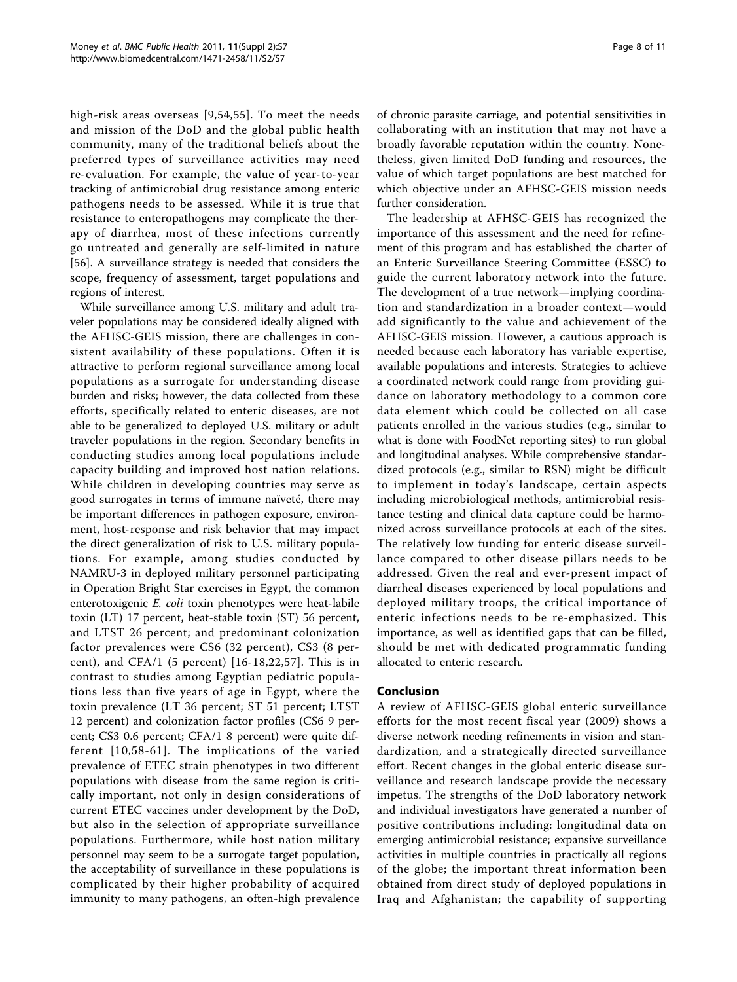high-risk areas overseas [[9](#page-8-0),[54](#page-10-0),[55\]](#page-10-0). To meet the needs and mission of the DoD and the global public health community, many of the traditional beliefs about the preferred types of surveillance activities may need re-evaluation. For example, the value of year-to-year tracking of antimicrobial drug resistance among enteric pathogens needs to be assessed. While it is true that resistance to enteropathogens may complicate the therapy of diarrhea, most of these infections currently go untreated and generally are self-limited in nature [[56\]](#page-10-0). A surveillance strategy is needed that considers the scope, frequency of assessment, target populations and regions of interest.

While surveillance among U.S. military and adult traveler populations may be considered ideally aligned with the AFHSC-GEIS mission, there are challenges in consistent availability of these populations. Often it is attractive to perform regional surveillance among local populations as a surrogate for understanding disease burden and risks; however, the data collected from these efforts, specifically related to enteric diseases, are not able to be generalized to deployed U.S. military or adult traveler populations in the region. Secondary benefits in conducting studies among local populations include capacity building and improved host nation relations. While children in developing countries may serve as good surrogates in terms of immune naïveté, there may be important differences in pathogen exposure, environment, host-response and risk behavior that may impact the direct generalization of risk to U.S. military populations. For example, among studies conducted by NAMRU-3 in deployed military personnel participating in Operation Bright Star exercises in Egypt, the common enterotoxigenic E. coli toxin phenotypes were heat-labile toxin (LT) 17 percent, heat-stable toxin (ST) 56 percent, and LTST 26 percent; and predominant colonization factor prevalences were CS6 (32 percent), CS3 (8 percent), and CFA/1 (5 percent) [\[16-18,22](#page-9-0),[57](#page-10-0)]. This is in contrast to studies among Egyptian pediatric populations less than five years of age in Egypt, where the toxin prevalence (LT 36 percent; ST 51 percent; LTST 12 percent) and colonization factor profiles (CS6 9 percent; CS3 0.6 percent; CFA/1 8 percent) were quite different [[10,](#page-8-0)[58](#page-10-0)-[61\]](#page-10-0). The implications of the varied prevalence of ETEC strain phenotypes in two different populations with disease from the same region is critically important, not only in design considerations of current ETEC vaccines under development by the DoD, but also in the selection of appropriate surveillance populations. Furthermore, while host nation military personnel may seem to be a surrogate target population, the acceptability of surveillance in these populations is complicated by their higher probability of acquired immunity to many pathogens, an often-high prevalence of chronic parasite carriage, and potential sensitivities in collaborating with an institution that may not have a broadly favorable reputation within the country. Nonetheless, given limited DoD funding and resources, the value of which target populations are best matched for which objective under an AFHSC-GEIS mission needs further consideration.

The leadership at AFHSC-GEIS has recognized the importance of this assessment and the need for refinement of this program and has established the charter of an Enteric Surveillance Steering Committee (ESSC) to guide the current laboratory network into the future. The development of a true network—implying coordination and standardization in a broader context—would add significantly to the value and achievement of the AFHSC-GEIS mission. However, a cautious approach is needed because each laboratory has variable expertise, available populations and interests. Strategies to achieve a coordinated network could range from providing guidance on laboratory methodology to a common core data element which could be collected on all case patients enrolled in the various studies (e.g., similar to what is done with FoodNet reporting sites) to run global and longitudinal analyses. While comprehensive standardized protocols (e.g., similar to RSN) might be difficult to implement in today's landscape, certain aspects including microbiological methods, antimicrobial resistance testing and clinical data capture could be harmonized across surveillance protocols at each of the sites. The relatively low funding for enteric disease surveillance compared to other disease pillars needs to be addressed. Given the real and ever-present impact of diarrheal diseases experienced by local populations and deployed military troops, the critical importance of enteric infections needs to be re-emphasized. This importance, as well as identified gaps that can be filled, should be met with dedicated programmatic funding allocated to enteric research.

#### Conclusion

A review of AFHSC-GEIS global enteric surveillance efforts for the most recent fiscal year (2009) shows a diverse network needing refinements in vision and standardization, and a strategically directed surveillance effort. Recent changes in the global enteric disease surveillance and research landscape provide the necessary impetus. The strengths of the DoD laboratory network and individual investigators have generated a number of positive contributions including: longitudinal data on emerging antimicrobial resistance; expansive surveillance activities in multiple countries in practically all regions of the globe; the important threat information been obtained from direct study of deployed populations in Iraq and Afghanistan; the capability of supporting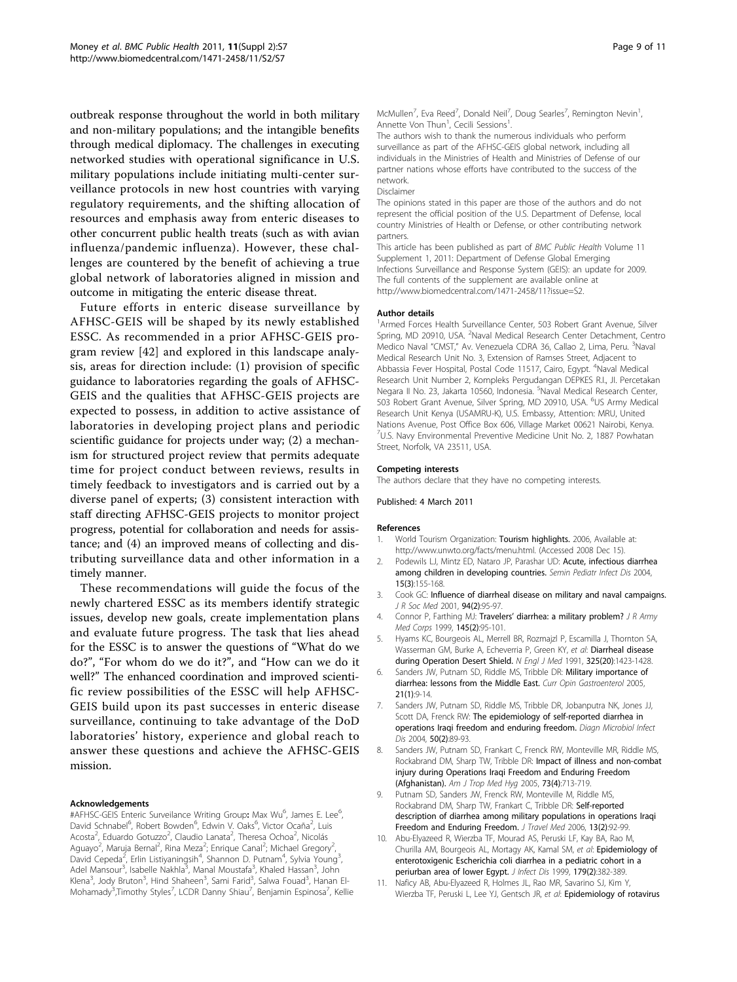<span id="page-8-0"></span>outbreak response throughout the world in both military and non-military populations; and the intangible benefits through medical diplomacy. The challenges in executing networked studies with operational significance in U.S. military populations include initiating multi-center surveillance protocols in new host countries with varying regulatory requirements, and the shifting allocation of resources and emphasis away from enteric diseases to other concurrent public health treats (such as with avian influenza/pandemic influenza). However, these challenges are countered by the benefit of achieving a true global network of laboratories aligned in mission and outcome in mitigating the enteric disease threat.

Future efforts in enteric disease surveillance by AFHSC-GEIS will be shaped by its newly established ESSC. As recommended in a prior AFHSC-GEIS program review [\[42](#page-9-0)] and explored in this landscape analysis, areas for direction include: (1) provision of specific guidance to laboratories regarding the goals of AFHSC-GEIS and the qualities that AFHSC-GEIS projects are expected to possess, in addition to active assistance of laboratories in developing project plans and periodic scientific guidance for projects under way; (2) a mechanism for structured project review that permits adequate time for project conduct between reviews, results in timely feedback to investigators and is carried out by a diverse panel of experts; (3) consistent interaction with staff directing AFHSC-GEIS projects to monitor project progress, potential for collaboration and needs for assistance; and (4) an improved means of collecting and distributing surveillance data and other information in a timely manner.

These recommendations will guide the focus of the newly chartered ESSC as its members identify strategic issues, develop new goals, create implementation plans and evaluate future progress. The task that lies ahead for the ESSC is to answer the questions of "What do we do?", "For whom do we do it?", and "How can we do it well?" The enhanced coordination and improved scientific review possibilities of the ESSC will help AFHSC-GEIS build upon its past successes in enteric disease surveillance, continuing to take advantage of the DoD laboratories' history, experience and global reach to answer these questions and achieve the AFHSC-GEIS mission.

#### Acknowledgements

#AFHSC-GEIS Enteric Surveilance Writing Group: Max Wu<sup>6</sup>, James E. Lee<sup>6</sup> , David Schnabel<sup>6</sup>, Robert Bowden<sup>6</sup>, Edwin V. Oaks<sup>6</sup>, Victor Ocaña<sup>2</sup>, Luis Acosta<sup>2</sup>, Eduardo Gotuzzo<sup>2</sup>, Claudio Lanata<sup>2</sup>, Theresa Ochoa<sup>2</sup>, Nicolás Aguayo<sup>2</sup>, Maruja Bernal<sup>2</sup>, Rina Meza<sup>2</sup>; Enrique Canal<sup>2</sup>; Michael Gregory<sup>2</sup> , David Cepeda<sup>2</sup>, Erlin Listiyaningsih<sup>4</sup>, Shannon D. Putnam<sup>4</sup>, Sylvia Young<sup>3</sup> , Adel Mansour<sup>3</sup>, Isabelle Nakhla<sup>3</sup>, Manal Moustafa<sup>3</sup>, Khaled Hassan<sup>3</sup>, John<br>Klena<sup>3</sup>, Jody Bruton<sup>3</sup>, Hind Shaheen<sup>3</sup>, Sami Farid<sup>3</sup>, Salwa Fouad<sup>3</sup>, Hanan El-Mohamady<sup>3</sup>,Timothy Styles<sup>7</sup>, LCDR Danny Shiau<sup>7</sup>, Benjamin Espinosa<sup>7</sup>, Kellie McMullen<sup>7</sup>, Eva Reed<sup>7</sup>, Donald Neil<sup>7</sup>, Doug Searles<sup>7</sup>, Remington Nevin<sup>1</sup> , Annette Von Thun<sup>1</sup>, Cecili Sessions<sup>1</sup> .

The authors wish to thank the numerous individuals who perform surveillance as part of the AFHSC-GEIS global network, including all individuals in the Ministries of Health and Ministries of Defense of our partner nations whose efforts have contributed to the success of the network.

Disclaimer

The opinions stated in this paper are those of the authors and do not represent the official position of the U.S. Department of Defense, local country Ministries of Health or Defense, or other contributing network partners.

This article has been published as part of BMC Public Health Volume 11 Supplement 1, 2011: Department of Defense Global Emerging Infections Surveillance and Response System (GEIS): an update for 2009. The full contents of the supplement are available online at [http://www.biomedcentral.com/1471-2458/11?issue=S2.](http://�www.�biomedcentral.com/1471-2458/11?issue=S2)

#### Author details

<sup>1</sup> Armed Forces Health Surveillance Center, 503 Robert Grant Avenue, Silver Spring, MD 20910, USA. <sup>2</sup>Naval Medical Research Center Detachment, Centro Medico Naval "CMST," Av. Venezuela CDRA 36, Callao 2, Lima, Peru. <sup>3</sup>Naval Medical Research Unit No. 3, Extension of Ramses Street, Adjacent to Abbassia Fever Hospital, Postal Code 11517, Cairo, Egypt. <sup>4</sup>Naval Medical Research Unit Number 2, Kompleks Pergudangan DEPKES R.I., JI. Percetakan Negara II No. 23, Jakarta 10560, Indonesia. <sup>5</sup>Naval Medical Research Center 503 Robert Grant Avenue, Silver Spring, MD 20910, USA. <sup>6</sup>US Army Medical Research Unit Kenya (USAMRU-K), U.S. Embassy, Attention: MRU, United Nations Avenue, Post Office Box 606, Village Market 00621 Nairobi, Kenya. 7 U.S. Navy Environmental Preventive Medicine Unit No. 2, 1887 Powhatan Street, Norfolk, VA 23511, USA.

#### Competing interests

The authors declare that they have no competing interests.

Published: 4 March 2011

#### References

- 1. World Tourism Organization: Tourism highlights. 2006, Available at: http://www.unwto.org/facts/menu.html. (Accessed 2008 Dec 15).
- 2. Podewils LJ, Mintz ED, Nataro JP, Parashar UD: [Acute, infectious diarrhea](http://www.ncbi.nlm.nih.gov/pubmed/15480962?dopt=Abstract) [among children in developing countries.](http://www.ncbi.nlm.nih.gov/pubmed/15480962?dopt=Abstract) Semin Pediatr Infect Dis 2004, 15(3):155-168.
- 3. Cook GC: [Influence of diarrheal disease on military and naval campaigns.](http://www.ncbi.nlm.nih.gov/pubmed/11234214?dopt=Abstract) J R Soc Med 2001, 94(2):95-97.
- 4. Connor P, Farthing MJ: Travelers' [diarrhea: a military problem?](http://www.ncbi.nlm.nih.gov/pubmed/10420348?dopt=Abstract) J R Army Med Corps 1999, 145(2):95-101.
- 5. Hyams KC, Bourgeois AL, Merrell BR, Rozmajzl P, Escamilla J, Thornton SA, Wasserman GM, Burke A, Echeverria P, Green KY, et al: [Diarrheal disease](http://www.ncbi.nlm.nih.gov/pubmed/1656260?dopt=Abstract) [during Operation Desert Shield.](http://www.ncbi.nlm.nih.gov/pubmed/1656260?dopt=Abstract) N Engl J Med 1991, 325(20):1423-1428.
- 6. Sanders JW, Putnam SD, Riddle MS, Tribble DR: [Military importance of](http://www.ncbi.nlm.nih.gov/pubmed/15687878?dopt=Abstract) [diarrhea: lessons from the Middle East.](http://www.ncbi.nlm.nih.gov/pubmed/15687878?dopt=Abstract) Curr Opin Gastroenterol 2005, 21(1):9-14.
- 7. Sanders JW, Putnam SD, Riddle MS, Tribble DR, Jobanputra NK, Jones JJ, Scott DA, Frenck RW: [The epidemiology of self-reported diarrhea in](http://www.ncbi.nlm.nih.gov/pubmed/15474316?dopt=Abstract) [operations Iraqi freedom and enduring freedom.](http://www.ncbi.nlm.nih.gov/pubmed/15474316?dopt=Abstract) Diagn Microbiol Infect Dis 2004, 50(2):89-93.
- 8. Sanders JW, Putnam SD, Frankart C, Frenck RW, Monteville MR, Riddle MS, Rockabrand DM, Sharp TW, Tribble DR: [Impact of illness and non-combat](http://www.ncbi.nlm.nih.gov/pubmed/16222015?dopt=Abstract) [injury during Operations Iraqi Freedom and Enduring Freedom](http://www.ncbi.nlm.nih.gov/pubmed/16222015?dopt=Abstract) [\(Afghanistan\).](http://www.ncbi.nlm.nih.gov/pubmed/16222015?dopt=Abstract) Am J Trop Med Hyg 2005, 73(4):713-719.
- 9. Putnam SD, Sanders JW, Frenck RW, Monteville M, Riddle MS, Rockabrand DM, Sharp TW, Frankart C, Tribble DR: [Self-reported](http://www.ncbi.nlm.nih.gov/pubmed/16553595?dopt=Abstract) [description of diarrhea among military populations in operations Iraqi](http://www.ncbi.nlm.nih.gov/pubmed/16553595?dopt=Abstract) [Freedom and Enduring Freedom.](http://www.ncbi.nlm.nih.gov/pubmed/16553595?dopt=Abstract) J Travel Med 2006, 13(2):92-99.
- 10. Abu-Elyazeed R, Wierzba TF, Mourad AS, Peruski LF, Kay BA, Rao M, Churilla AM, Bourgeois AL, Mortagy AK, Kamal SM, et al: [Epidemiology of](http://www.ncbi.nlm.nih.gov/pubmed/9878022?dopt=Abstract) [enterotoxigenic Escherichia coli diarrhea in a pediatric cohort in a](http://www.ncbi.nlm.nih.gov/pubmed/9878022?dopt=Abstract) [periurban area of lower Egypt.](http://www.ncbi.nlm.nih.gov/pubmed/9878022?dopt=Abstract) J Infect Dis 1999, 179(2):382-389.
- 11. Naficy AB, Abu-Elyazeed R, Holmes JL, Rao MR, Savarino SJ, Kim Y, Wierzba TF, Peruski L, Lee YJ, Gentsch JR, et al: [Epidemiology of rotavirus](http://www.ncbi.nlm.nih.gov/pubmed/10512431?dopt=Abstract)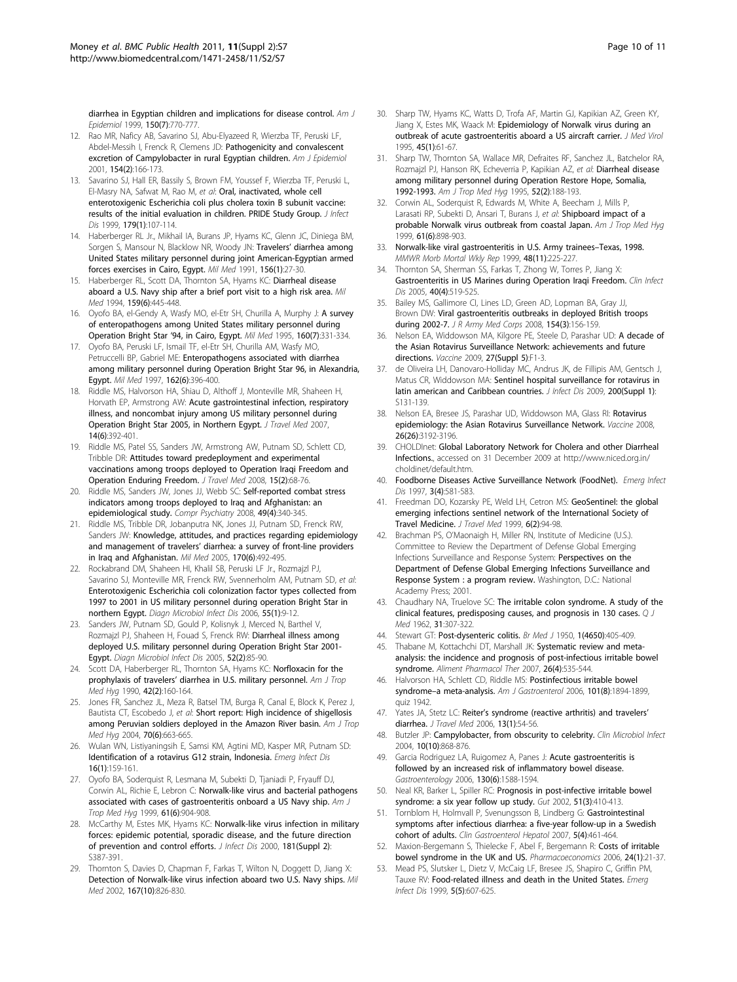<span id="page-9-0"></span>[diarrhea in Egyptian children and implications for disease control.](http://www.ncbi.nlm.nih.gov/pubmed/10512431?dopt=Abstract) Am  $J$ Epidemiol 1999, 150(7):770-777.

- 12. Rao MR, Naficy AB, Savarino SJ, Abu-Elyazeed R, Wierzba TF, Peruski LF, Abdel-Messih I, Frenck R, Clemens JD: [Pathogenicity and convalescent](http://www.ncbi.nlm.nih.gov/pubmed/11447051?dopt=Abstract) [excretion of Campylobacter in rural Egyptian children.](http://www.ncbi.nlm.nih.gov/pubmed/11447051?dopt=Abstract) Am J Epidemiol 2001, 154(2):166-173.
- 13. Savarino SJ, Hall ER, Bassily S, Brown FM, Youssef F, Wierzba TF, Peruski L, El-Masry NA, Safwat M, Rao M, et al: [Oral, inactivated, whole cell](http://www.ncbi.nlm.nih.gov/pubmed/9841829?dopt=Abstract) [enterotoxigenic Escherichia coli plus cholera toxin B subunit vaccine:](http://www.ncbi.nlm.nih.gov/pubmed/9841829?dopt=Abstract) [results of the initial evaluation in children. PRIDE Study Group.](http://www.ncbi.nlm.nih.gov/pubmed/9841829?dopt=Abstract) J Infect Dis 1999, 179(1):107-114.
- 14. Haberberger RL Jr., Mikhail IA, Burans JP, Hyams KC, Glenn JC, Diniega BM, Sorgen S, Mansour N, Blacklow NR, Woody JN: Travelers' [diarrhea among](http://www.ncbi.nlm.nih.gov/pubmed/1900113?dopt=Abstract) [United States military personnel during joint American-Egyptian armed](http://www.ncbi.nlm.nih.gov/pubmed/1900113?dopt=Abstract) [forces exercises in Cairo, Egypt.](http://www.ncbi.nlm.nih.gov/pubmed/1900113?dopt=Abstract) Mil Med 1991, 156(1):27-30.
- 15. Haberberger RL, Scott DA, Thornton SA, Hyams KC: [Diarrheal disease](http://www.ncbi.nlm.nih.gov/pubmed/7984303?dopt=Abstract) [aboard a U.S. Navy ship after a brief port visit to a high risk area.](http://www.ncbi.nlm.nih.gov/pubmed/7984303?dopt=Abstract) Mil Med 1994, 159(6):445-448.
- 16. Oyofo BA, el-Gendy A, Wasfy MO, el-Etr SH, Churilla A, Murphy J: [A survey](http://www.ncbi.nlm.nih.gov/pubmed/7659237?dopt=Abstract) [of enteropathogens among United States military personnel during](http://www.ncbi.nlm.nih.gov/pubmed/7659237?dopt=Abstract) [Operation Bright Star](http://www.ncbi.nlm.nih.gov/pubmed/7659237?dopt=Abstract) '94, in Cairo, Egypt. Mil Med 1995, 160(7):331-334.
- 17. Oyofo BA, Peruski LF, Ismail TF, el-Etr SH, Churilla AM, Wasfy MO, Petruccelli BP, Gabriel ME: [Enteropathogens associated with diarrhea](http://www.ncbi.nlm.nih.gov/pubmed/9183160?dopt=Abstract) [among military personnel during Operation Bright Star 96, in Alexandria,](http://www.ncbi.nlm.nih.gov/pubmed/9183160?dopt=Abstract) [Egypt.](http://www.ncbi.nlm.nih.gov/pubmed/9183160?dopt=Abstract) Mil Med 1997, 162(6):396-400.
- 18. Riddle MS, Halvorson HA, Shiau D, Althoff J, Monteville MR, Shaheen H, Horvath EP, Armstrong AW: [Acute gastrointestinal infection, respiratory](http://www.ncbi.nlm.nih.gov/pubmed/17995535?dopt=Abstract) [illness, and noncombat injury among US military personnel during](http://www.ncbi.nlm.nih.gov/pubmed/17995535?dopt=Abstract) [Operation Bright Star 2005, in Northern Egypt.](http://www.ncbi.nlm.nih.gov/pubmed/17995535?dopt=Abstract) J Travel Med 2007, 14(6):392-401.
- 19. Riddle MS, Patel SS, Sanders JW, Armstrong AW, Putnam SD, Schlett CD, Tribble DR: [Attitudes toward predeployment and experimental](http://www.ncbi.nlm.nih.gov/pubmed/18346238?dopt=Abstract) [vaccinations among troops deployed to Operation Iraqi Freedom and](http://www.ncbi.nlm.nih.gov/pubmed/18346238?dopt=Abstract) [Operation Enduring Freedom.](http://www.ncbi.nlm.nih.gov/pubmed/18346238?dopt=Abstract) J Travel Med 2008, 15(2):68-76.
- 20. Riddle MS, Sanders JW, Jones JJ, Webb SC: [Self-reported combat stress](http://www.ncbi.nlm.nih.gov/pubmed/18555053?dopt=Abstract) [indicators among troops deployed to Iraq and Afghanistan: an](http://www.ncbi.nlm.nih.gov/pubmed/18555053?dopt=Abstract) [epidemiological study.](http://www.ncbi.nlm.nih.gov/pubmed/18555053?dopt=Abstract) Compr Psychiatry 2008, 49(4):340-345.
- 21. Riddle MS, Tribble DR, Jobanputra NK, Jones JJ, Putnam SD, Frenck RW, Sanders JW: [Knowledge, attitudes, and practices regarding epidemiology](http://www.ncbi.nlm.nih.gov/pubmed/16001598?dopt=Abstract) and management of travelers' [diarrhea: a survey of front-line providers](http://www.ncbi.nlm.nih.gov/pubmed/16001598?dopt=Abstract) [in Iraq and Afghanistan.](http://www.ncbi.nlm.nih.gov/pubmed/16001598?dopt=Abstract) Mil Med 2005, 170(6):492-495.
- 22. Rockabrand DM, Shaheen HI, Khalil SB, Peruski LF Jr., Rozmajzl PJ, Savarino SJ, Monteville MR, Frenck RW, Svennerholm AM, Putnam SD, et al: [Enterotoxigenic Escherichia coli colonization factor types collected from](http://www.ncbi.nlm.nih.gov/pubmed/16542813?dopt=Abstract) [1997 to 2001 in US military personnel during operation Bright Star in](http://www.ncbi.nlm.nih.gov/pubmed/16542813?dopt=Abstract) [northern Egypt.](http://www.ncbi.nlm.nih.gov/pubmed/16542813?dopt=Abstract) Diagn Microbiol Infect Dis 2006, 55(1):9-12.
- 23. Sanders JW, Putnam SD, Gould P, Kolisnyk J, Merced N, Barthel V, Rozmajzl PJ, Shaheen H, Fouad S, Frenck RW: [Diarrheal illness among](http://www.ncbi.nlm.nih.gov/pubmed/15964494?dopt=Abstract) [deployed U.S. military personnel during Operation Bright Star 2001-](http://www.ncbi.nlm.nih.gov/pubmed/15964494?dopt=Abstract) [Egypt.](http://www.ncbi.nlm.nih.gov/pubmed/15964494?dopt=Abstract) Diagn Microbiol Infect Dis 2005, 52(2):85-90.
- 24. Scott DA, Haberberger RL, Thornton SA, Hyams KC: [Norfloxacin for the](http://www.ncbi.nlm.nih.gov/pubmed/2180331?dopt=Abstract) prophylaxis of travelers' [diarrhea in U.S. military personnel.](http://www.ncbi.nlm.nih.gov/pubmed/2180331?dopt=Abstract) Am J Trop Med Hyg 1990, 42(2):160-164.
- 25. Jones FR, Sanchez JL, Meza R, Batsel TM, Burga R, Canal E, Block K, Perez J, Bautista CT, Escobedo J, et al: [Short report: High incidence of shigellosis](http://www.ncbi.nlm.nih.gov/pubmed/15211010?dopt=Abstract) [among Peruvian soldiers deployed in the Amazon River basin.](http://www.ncbi.nlm.nih.gov/pubmed/15211010?dopt=Abstract) Am J Trop Med Hyg 2004, 70(6):663-665.
- 26. Wulan WN, Listiyaningsih E, Samsi KM, Agtini MD, Kasper MR, Putnam SD: [Identification of a rotavirus G12 strain, Indonesia.](http://www.ncbi.nlm.nih.gov/pubmed/20031072?dopt=Abstract) Emerg Infect Dis 16(1):159-161.
- 27. Oyofo BA, Soderquist R, Lesmana M, Subekti D, Tjaniadi P, Fryauff DJ, Corwin AL, Richie E, Lebron C: [Norwalk-like virus and bacterial pathogens](http://www.ncbi.nlm.nih.gov/pubmed/10674668?dopt=Abstract) [associated with cases of gastroenteritis onboard a US Navy ship.](http://www.ncbi.nlm.nih.gov/pubmed/10674668?dopt=Abstract) Am J Trop Med Hyg 1999, 61(6):904-908.
- 28. McCarthy M, Estes MK, Hyams KC: [Norwalk-like virus infection in military](http://www.ncbi.nlm.nih.gov/pubmed/10804153?dopt=Abstract) [forces: epidemic potential, sporadic disease, and the future direction](http://www.ncbi.nlm.nih.gov/pubmed/10804153?dopt=Abstract) [of prevention and control efforts.](http://www.ncbi.nlm.nih.gov/pubmed/10804153?dopt=Abstract) J Infect Dis 2000, 181(Suppl 2): S387-391.
- 29. Thornton S, Davies D, Chapman F, Farkas T, Wilton N, Doggett D, Jiang X: [Detection of Norwalk-like virus infection aboard two U.S. Navy ships.](http://www.ncbi.nlm.nih.gov/pubmed/12392249?dopt=Abstract) Mil Med 2002, 167(10):826-830.
- 30. Sharp TW, Hyams KC, Watts D, Trofa AF, Martin GJ, Kapikian AZ, Green KY, Jiang X, Estes MK, Waack M: [Epidemiology of Norwalk virus during an](http://www.ncbi.nlm.nih.gov/pubmed/7714493?dopt=Abstract) [outbreak of acute gastroenteritis aboard a US aircraft carrier.](http://www.ncbi.nlm.nih.gov/pubmed/7714493?dopt=Abstract) J Med Virol 1995, 45(1):61-67.
- 31. Sharp TW, Thornton SA, Wallace MR, Defraites RF, Sanchez JL, Batchelor RA, Rozmajzl PJ, Hanson RK, Echeverria P, Kapikian AZ, et al: [Diarrheal disease](http://www.ncbi.nlm.nih.gov/pubmed/7872452?dopt=Abstract) [among military personnel during Operation Restore Hope, Somalia,](http://www.ncbi.nlm.nih.gov/pubmed/7872452?dopt=Abstract) [1992-1993.](http://www.ncbi.nlm.nih.gov/pubmed/7872452?dopt=Abstract) Am J Trop Med Hyg 1995, 52(2):188-193.
- 32. Corwin AL, Soderquist R, Edwards M, White A, Beecham J, Mills P, Larasati RP, Subekti D, Ansari T, Burans J, et al: [Shipboard impact of a](http://www.ncbi.nlm.nih.gov/pubmed/10674667?dopt=Abstract) [probable Norwalk virus outbreak from coastal Japan.](http://www.ncbi.nlm.nih.gov/pubmed/10674667?dopt=Abstract) Am J Trop Med Hyg 1999, 61(6):898-903.
- 33. Norwalk-like viral gastroenteritis in U.S. Army trainees–Texas, 1998. MMWR Morb Mortal Wkly Rep 1999, 48(11):225-227.
- 34. Thornton SA, Sherman SS, Farkas T, Zhong W, Torres P, Jiang X: [Gastroenteritis in US Marines during Operation Iraqi Freedom.](http://www.ncbi.nlm.nih.gov/pubmed/15712073?dopt=Abstract) Clin Infect Dis 2005, 40(4):519-525.
- 35. Bailey MS, Gallimore CI, Lines LD, Green AD, Lopman BA, Gray JJ, Brown DW: [Viral gastroenteritis outbreaks in deployed British troops](http://www.ncbi.nlm.nih.gov/pubmed/19202819?dopt=Abstract) [during 2002-7.](http://www.ncbi.nlm.nih.gov/pubmed/19202819?dopt=Abstract) J R Army Med Corps 2008, 154(3):156-159.
- 36. Nelson EA, Widdowson MA, Kilgore PE, Steele D, Parashar UD: [A decade of](http://www.ncbi.nlm.nih.gov/pubmed/19931705?dopt=Abstract) [the Asian Rotavirus Surveillance Network: achievements and future](http://www.ncbi.nlm.nih.gov/pubmed/19931705?dopt=Abstract) [directions.](http://www.ncbi.nlm.nih.gov/pubmed/19931705?dopt=Abstract) Vaccine 2009, 27(Suppl 5):F1-3.
- 37. de Oliveira LH, Danovaro-Holliday MC, Andrus JK, de Fillipis AM, Gentsch J, Matus CR, Widdowson MA: [Sentinel hospital surveillance for rotavirus in](http://www.ncbi.nlm.nih.gov/pubmed/19821710?dopt=Abstract) [latin american and Caribbean countries.](http://www.ncbi.nlm.nih.gov/pubmed/19821710?dopt=Abstract) *J Infect Dis* 2009, 200(Suppl 1): S131-139.
- 38. Nelson EA, Bresee JS, Parashar UD, Widdowson MA, Glass RI: [Rotavirus](http://www.ncbi.nlm.nih.gov/pubmed/18485546?dopt=Abstract) [epidemiology: the Asian Rotavirus Surveillance Network.](http://www.ncbi.nlm.nih.gov/pubmed/18485546?dopt=Abstract) Vaccine 2008, 26(26):3192-3196.
- 39. CHOLDInet: Global Laboratory Network for Cholera and other Diarrheal Infections., accessed on 31 December 2009 at http://www.niced.org.in/ choldinet/default.htm.
- 40. Foodborne Diseases Active Surveillance Network (FoodNet). Emerg Infect Dis 1997, 3(4):581-583.
- 41. Freedman DO, Kozarsky PE, Weld LH, Cetron MS: [GeoSentinel: the global](http://www.ncbi.nlm.nih.gov/pubmed/10381961?dopt=Abstract) [emerging infections sentinel network of the International Society of](http://www.ncbi.nlm.nih.gov/pubmed/10381961?dopt=Abstract) [Travel Medicine.](http://www.ncbi.nlm.nih.gov/pubmed/10381961?dopt=Abstract) J Travel Med 1999, 6(2):94-98.
- 42. Brachman PS, O'Maonaigh H, Miller RN, Institute of Medicine (U.S.). Committee to Review the Department of Defense Global Emerging Infections Surveillance and Response System: Perspectives on the Department of Defense Global Emerging Infections Surveillance and Response System : a program review. Washington, D.C.: National Academy Press; 2001.
- 43. Chaudhary NA, Truelove SC: [The irritable colon syndrome. A study of the](http://www.ncbi.nlm.nih.gov/pubmed/13878459?dopt=Abstract) [clinical features, predisposing causes, and prognosis in 130 cases.](http://www.ncbi.nlm.nih.gov/pubmed/13878459?dopt=Abstract) Q J Med 1962, 31:307-322.
- 44. Stewart GT: [Post-dysenteric colitis.](http://www.ncbi.nlm.nih.gov/pubmed/15410136?dopt=Abstract) Br Med J 1950, 1(4650):405-409.
- 45. Thabane M, Kottachchi DT, Marshall JK: [Systematic review and meta](http://www.ncbi.nlm.nih.gov/pubmed/17661757?dopt=Abstract)[analysis: the incidence and prognosis of post-infectious irritable bowel](http://www.ncbi.nlm.nih.gov/pubmed/17661757?dopt=Abstract) [syndrome.](http://www.ncbi.nlm.nih.gov/pubmed/17661757?dopt=Abstract) Aliment Pharmacol Ther 2007, 26(4):535-544.
- 46. Halvorson HA, Schlett CD, Riddle MS: [Postinfectious irritable bowel](http://www.ncbi.nlm.nih.gov/pubmed/16928253?dopt=Abstract) syndrome–[a meta-analysis.](http://www.ncbi.nlm.nih.gov/pubmed/16928253?dopt=Abstract) Am J Gastroenterol 2006, 101(8):1894-1899, quiz 1942.
- 47. Yates JA, Stetz LC: Reiter'[s syndrome \(reactive arthritis\) and travelers](http://www.ncbi.nlm.nih.gov/pubmed/16412110?dopt=Abstract)' [diarrhea.](http://www.ncbi.nlm.nih.gov/pubmed/16412110?dopt=Abstract) J Travel Med 2006, 13(1):54-56.
- 48. Butzler JP: [Campylobacter, from obscurity to celebrity.](http://www.ncbi.nlm.nih.gov/pubmed/15373879?dopt=Abstract) Clin Microbiol Infect 2004, 10(10):868-876.
- 49. Garcia Rodriguez LA, Ruigomez A, Panes J: [Acute gastroenteritis is](http://www.ncbi.nlm.nih.gov/pubmed/16697722?dopt=Abstract) [followed by an increased risk of inflammatory bowel disease.](http://www.ncbi.nlm.nih.gov/pubmed/16697722?dopt=Abstract) Gastroenterology 2006, 130(6):1588-1594.
- 50. Neal KR, Barker L, Spiller RC: [Prognosis in post-infective irritable bowel](http://www.ncbi.nlm.nih.gov/pubmed/12171965?dopt=Abstract) [syndrome: a six year follow up study.](http://www.ncbi.nlm.nih.gov/pubmed/12171965?dopt=Abstract) Gut 2002, 51(3):410-413.
- 51. Tornblom H, Holmvall P, Svenungsson B, Lindberg G: [Gastrointestinal](http://www.ncbi.nlm.nih.gov/pubmed/17445752?dopt=Abstract) [symptoms after infectious diarrhea: a five-year follow-up in a Swedish](http://www.ncbi.nlm.nih.gov/pubmed/17445752?dopt=Abstract) [cohort of adults.](http://www.ncbi.nlm.nih.gov/pubmed/17445752?dopt=Abstract) Clin Gastroenterol Hepatol 2007, 5(4):461-464.
- 52. Maxion-Bergemann S, Thielecke F, Abel F, Bergemann R: [Costs of irritable](http://www.ncbi.nlm.nih.gov/pubmed/16445300?dopt=Abstract) [bowel syndrome in the UK and US.](http://www.ncbi.nlm.nih.gov/pubmed/16445300?dopt=Abstract) Pharmacoeconomics 2006, 24(1):21-37.
- 53. Mead PS, Slutsker L, Dietz V, McCaig LF, Bresee JS, Shapiro C, Griffin PM, Tauxe RV: [Food-related illness and death in the United States.](http://www.ncbi.nlm.nih.gov/pubmed/10511517?dopt=Abstract) Emerg Infect Dis 1999, 5(5):607-625.